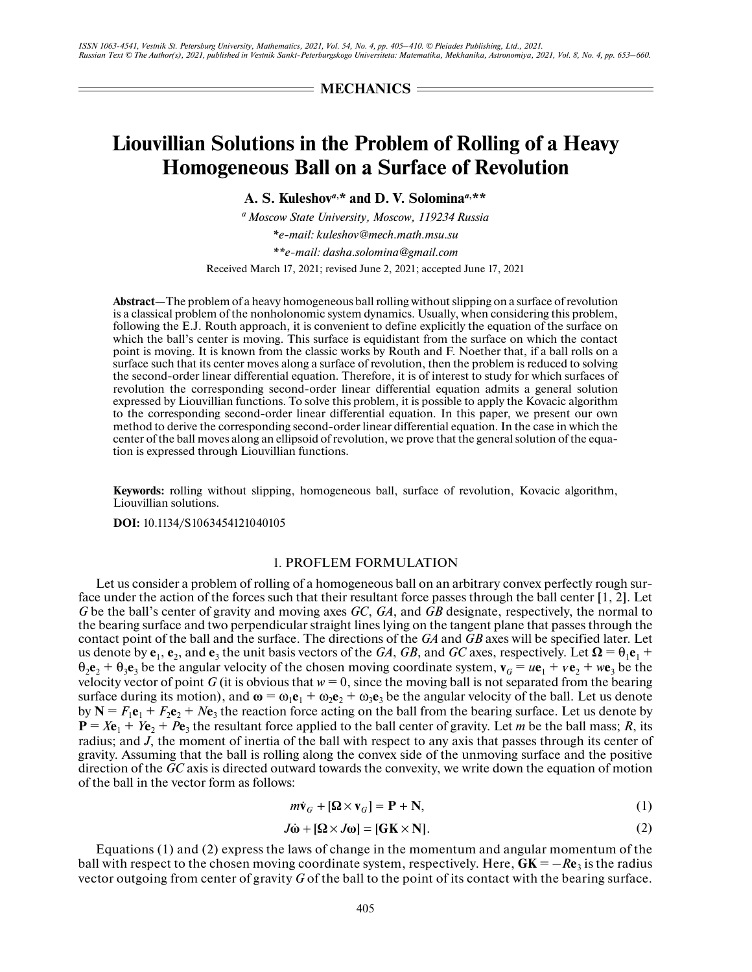**MECHANICS**

# **Liouvillian Solutions in the Problem of Rolling of a Heavy Homogeneous Ball on a Surface of Revolution**

**A. S. Kuleshov***a***, \* and D. V. Solomina***a***, \*\***

*a Moscow State University, Moscow, 119234 Russia \*e-mail: kuleshov@mech.math.msu.su \*\*e-mail: dasha.solomina@gmail.com*

Received March 17, 2021; revised June 2, 2021; accepted June 17, 2021

**Abstract**—The problem of a heavy homogeneous ball rolling without slipping on a surface of revolution is a classical problem of the nonholonomic system dynamics. Usually, when considering this problem, following the E.J. Routh approach, it is convenient to define explicitly the equation of the surface on which the ball's center is moving. This surface is equidistant from the surface on which the contact point is moving. It is known from the classic works by Routh and F. Noether that, if a ball rolls on a surface such that its center moves along a surface of revolution, then the problem is reduced to solving the second-order linear differential equation. Therefore, it is of interest to study for which surfaces of revolution the corresponding second-order linear differential equation admits a general solution expressed by Liouvillian functions. To solve this problem, it is possible to apply the Kovacic algorithm to the corresponding second-order linear differential equation. In this paper, we present our own method to derive the corresponding second-order linear differential equation. In the case in which the center of the ball moves along an ellipsoid of revolution, we prove that the general solution of the equation is expressed through Liouvillian functions.

**Keywords:** rolling without slipping, homogeneous ball, surface of revolution, Kovacic algorithm, Liouvillian solutions.

**DOI:** 10.1134/S1063454121040105

# 1. PROFLEM FORMULATION

Let us consider a problem of rolling of a homogeneous ball on an arbitrary convex perfectly rough surface under the action of the forces such that their resultant force passes through the ball center [1, 2]. Let *G* be the ball's center of gravity and moving axes *GC*, *GA*, and *GB* designate, respectively, the normal to the bearing surface and two perpendicular straight lines lying on the tangent plane that passes through the contact point of the ball and the surface. The directions of the *GA* and *GB* axes will be specified later. Let us denote by  $e_1$ ,  $e_2$ , and  $e_3$  the unit basis vectors of the *GA*, *GB*, and *GC* axes, respectively. Let  $\Omega = \theta_1 e_1 + \theta_2 e_2$  $\theta_2 \mathbf{e}_2 + \theta_3 \mathbf{e}_3$  be the angular velocity of the chosen moving coordinate system,  $\mathbf{v}_G = u\mathbf{e}_1 + v\mathbf{e}_2 + w\mathbf{e}_3$  be the velocity vector of point *G* (it is obvious that  $w = 0$ , since the moving ball is not separated from the bearing surface during its motion), and  $\omega = \omega_1 e_1 + \omega_2 e_2 + \omega_3 e_3$  be the angular velocity of the ball. Let us denote by  $N = F_1e_1 + F_2e_2 + Ne_3$  the reaction force acting on the ball from the bearing surface. Let us denote by  $P = Xe_1 + Ye_2 + Pe_3$  the resultant force applied to the ball center of gravity. Let *m* be the ball mass; *R*, its radius; and *J*, the moment of inertia of the ball with respect to any axis that passes through its center of gravity. Assuming that the ball is rolling along the convex side of the unmoving surface and the positive direction of the *GC* axis is directed outward towards the convexity, we write down the equation of motion of the ball in the vector form as follows: *m*<br>f th<br>ig a<br>wai<br>*m***v** ing along the convex side<br>tward towards the convex<br>*J*  $\vec{w}_G + [\Omega \times \mathbf{v}_G] = \mathbf{P} + \mathbf{N}$ <br>*J*  $\vec{\omega} + [\Omega \times J\omega] = [\mathbf{G}\mathbf{K} \times \mathbf{N}]$ 

$$
m\dot{\mathbf{v}}_G + [\mathbf{\Omega} \times \mathbf{v}_G] = \mathbf{P} + \mathbf{N},\tag{1}
$$

$$
J\dot{\omega} + [\Omega \times J\omega] = [\mathbf{G}\mathbf{K} \times \mathbf{N}]. \tag{2}
$$

Equations (1) and (2) express the laws of change in the momentum and angular momentum of the ball with respect to the chosen moving coordinate system, respectively. Here,  $GK = -Re<sub>3</sub>$  is the radius vector outgoing from center of gravity *G* of the ball to the point of its contact with the bearing surface.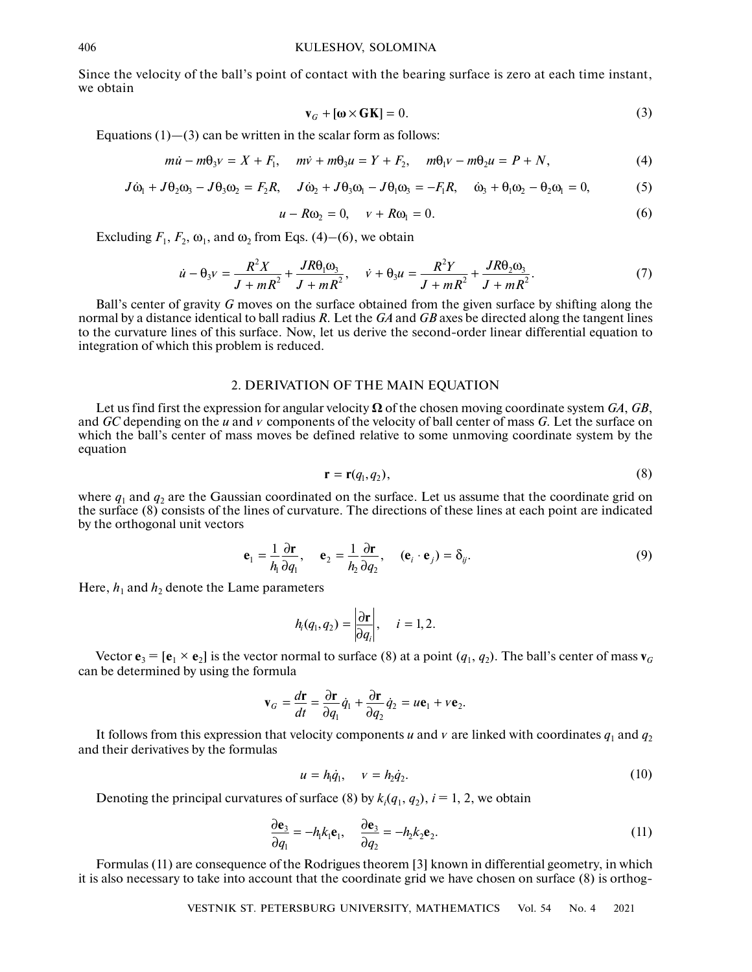Since the velocity of the ball's point of contact with the bearing surface is zero at each time instant, we obtain

$$
\mathbf{v}_G + [\mathbf{\omega} \times \mathbf{G} \mathbf{K}] = 0. \tag{3}
$$

Equations  $(1)$ — $(3)$  can be written in the scalar form as follows:

$$
\mathbf{v}_G + [\mathbf{\omega} \times \mathbf{G} \mathbf{K}] = 0.
$$
 (3)  
(1)–(3) can be written in the scalar form as follows:  

$$
m\dot{u} - m\theta_3 v = X + F_1, \quad m\dot{v} + m\theta_3 u = Y + F_2, \quad m\theta_1 v - m\theta_2 u = P + N,
$$
 (4)

$$
\mathbf{v}_G + [\mathbf{\omega} \times \mathbf{G} \mathbf{K}] = 0.
$$
 (3)  
ations (1)–(3) can be written in the scalar form as follows:  

$$
m\dot{u} - m\theta_3 v = X + F_1, \quad m\dot{v} + m\theta_3 u = Y + F_2, \quad m\theta_1 v - m\theta_2 u = P + N,
$$
 (4)  

$$
J\dot{\omega}_1 + J\theta_2 \omega_3 - J\theta_3 \omega_2 = F_2 R, \quad J\dot{\omega}_2 + J\theta_3 \omega_1 - J\theta_1 \omega_3 = -F_1 R, \quad \dot{\omega}_3 + \theta_1 \omega_2 - \theta_2 \omega_1 = 0,
$$
 (5)

$$
u - R\omega_2 = 0, \quad v + R\omega_1 = 0. \tag{6}
$$

Excluding  $F_1$ ,  $F_2$ ,  $\omega_1$ , and  $\omega_2$  from Eqs. (4)–(6), we obtain

$$
u - R\omega_2 = 0, \quad v + R\omega_1 = 0.
$$
 (6)  

$$
F_2, \omega_1, \text{ and } \omega_2 \text{ from Eqs. (4)–(6), we obtain}
$$

$$
\dot{u} - \theta_3 v = \frac{R^2 X}{J + mR^2} + \frac{JR\theta_1\omega_3}{J + mR^2}, \quad \dot{v} + \theta_3 u = \frac{R^2 Y}{J + mR^2} + \frac{JR\theta_2\omega_3}{J + mR^2}.
$$
 (7)

Ball's center of gravity *G* moves on the surface obtained from the given surface by shifting along the normal by a distance identical to ball radius *R*. Let the *GA* and *GB* axes be directed along the tangent lines to the curvature lines of this surface. Now, let us derive the second-order linear differential equation to integration of which this problem is reduced.

# 2. DERIVATION OF THE MAIN EQUATION

Let us find first the expression for angular velocity  $\Omega$  of the chosen moving coordinate system *GA*, *GB*, and *GC* depending on the *u* and *v* components of the velocity of ball center of mass *G*. Let the surface on which the ball's center of mass moves be defined relative to some unmoving coordinate system by the equation

$$
\mathbf{r} = \mathbf{r}(q_1, q_2),\tag{8}
$$

where  $q_1$  and  $q_2$  are the Gaussian coordinated on the surface. Let us assume that the coordinate grid on the surface (8) consists of the lines of curvature. The directions of these lines at each point are indicated by the orthogonal unit vectors

$$
\mathbf{e}_1 = \frac{1}{h_1} \frac{\partial \mathbf{r}}{\partial q_1}, \quad \mathbf{e}_2 = \frac{1}{h_2} \frac{\partial \mathbf{r}}{\partial q_2}, \quad (\mathbf{e}_i \cdot \mathbf{e}_j) = \delta_{ij}.
$$
 (9)

Here,  $h_1$  and  $h_2$  denote the Lame parameters

$$
h_i(q_1,q_2)=\left|\frac{\partial \mathbf{r}}{\partial q_i}\right|,\quad i=1,2.
$$

Vector  $\mathbf{e}_3 = [\mathbf{e}_1 \times \mathbf{e}_2]$  is the vector normal to surface (8) at a point  $(q_1, q_2)$ . The ball's center of mass  $\mathbf{v}_G$ can be determined by using the formula -<br>-<br>-

$$
n_{i}(q_{1}, q_{2}) = |\overline{\partial q_{i}}|, \quad i = 1, 2.
$$
  
for normal to surface (8) at a point (*q*  
rmula  

$$
\mathbf{v}_{G} = \frac{d\mathbf{r}}{dt} = \frac{\partial \mathbf{r}}{\partial q_{1}} \dot{q}_{1} + \frac{\partial \mathbf{r}}{\partial q_{2}} \dot{q}_{2} = u\mathbf{e}_{1} + v\mathbf{e}_{2}.
$$

It follows from this expression that velocity components *u* and *v* are linked with coordinates  $q_1$  and  $q_2$ and their derivatives by the formulas  $\frac{d\mathbf{r}}{dt} = \frac{\partial \mathbf{r}}{\partial q_1} \dot{q}_1 + \frac{\partial \mathbf{r}}{\partial q_2} \dot{q}_2$ <br>
Elocity components<br>  $u = h_1 \dot{q}_1, \quad v = h_2 \dot{q}_2$ .<br>.<br>.

$$
u = h_1 \dot{q}_1, \quad v = h_2 \dot{q}_2. \tag{10}
$$

Denoting the principal curvatures of surface (8) by  $k_i(q_1, q_2)$ ,  $i = 1, 2$ , we obtain

$$
\frac{\partial \mathbf{e}_3}{\partial q_1} = -h_1 k_1 \mathbf{e}_1, \quad \frac{\partial \mathbf{e}_3}{\partial q_2} = -h_2 k_2 \mathbf{e}_2.
$$
 (11)

Formulas (11) are consequence of the Rodrigues theorem [3] known in differential geometry, in which it is also necessary to take into account that the coordinate grid we have chosen on surface (8) is orthog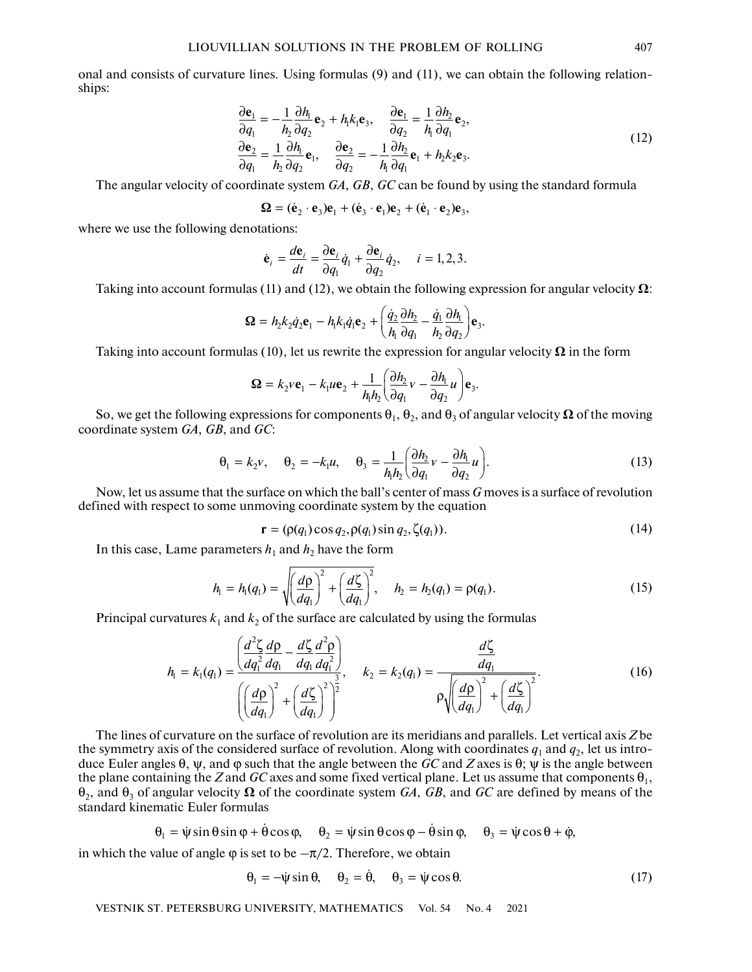onal and consists of curvature lines. Using formulas (9) and (11), we can obtain the following relationships:

$$
\frac{\partial \mathbf{e}_1}{\partial q_1} = -\frac{1}{h_2} \frac{\partial h_1}{\partial q_2} \mathbf{e}_2 + h_1 k_1 \mathbf{e}_3, \quad \frac{\partial \mathbf{e}_1}{\partial q_2} = \frac{1}{h_1} \frac{\partial h_2}{\partial q_1} \mathbf{e}_2,
$$
\n
$$
\frac{\partial \mathbf{e}_2}{\partial q_1} = \frac{1}{h_2} \frac{\partial h_1}{\partial q_2} \mathbf{e}_1, \quad \frac{\partial \mathbf{e}_2}{\partial q_2} = -\frac{1}{h_1} \frac{\partial h_2}{\partial q_1} \mathbf{e}_1 + h_2 k_2 \mathbf{e}_3.
$$
\ncoordinate system *GA*, *GB*, *GC* can be found by using the standard formula

\n
$$
\mathbf{\Omega} = (\dot{\mathbf{e}}_2 \cdot \mathbf{e}_3) \mathbf{e}_1 + (\dot{\mathbf{e}}_3 \cdot \mathbf{e}_1) \mathbf{e}_2 + (\dot{\mathbf{e}}_1 \cdot \mathbf{e}_2) \mathbf{e}_3,
$$
\n(12)

The angular velocity of coordinate system *GA*, *GB*, *GC* can be found by using the standard formula

mate system *GA*, *GB*, *GC* can be found

\nΩ = (e<sub>2</sub> · e<sub>3</sub>)e<sub>1</sub> + (e<sub>3</sub> · e<sub>1</sub>)e<sub>2</sub> + (e<sub>1</sub> · e<sub>2</sub>)e<sub>3</sub>,  
\nations:

\n∴ 
$$
d\mathbf{e}_i \quad \partial \mathbf{e}_i \quad \partial \mathbf{e}_i \quad \partial \mathbf{e}_i
$$

where we use the following denotations:

rate system 
$$
GA
$$
,  $GB$ ,  $GC$  can be found:

\n
$$
\Omega = (\dot{\mathbf{e}}_2 \cdot \mathbf{e}_3) \mathbf{e}_1 + (\dot{\mathbf{e}}_3 \cdot \mathbf{e}_1) \mathbf{e}_2 + (\dot{\mathbf{e}}_1 \cdot \mathbf{e}_2) \mathbf{e}_3
$$

\nations:

\n
$$
\dot{\mathbf{e}}_i = \frac{d\mathbf{e}_i}{dt} = \frac{\partial \mathbf{e}_i}{\partial q_1} \dot{q}_1 + \frac{\partial \mathbf{e}_i}{\partial q_2} \dot{q}_2, \quad i = 1, 2, 3.
$$

\n(11) and (12), we obtain the following

Taking into account formulas (11) and (12), we obtain the following expression for angular velocity  $\Omega$ :

$$
\Omega = h_2 k_2 \dot{q}_2 \mathbf{e}_1 - h_1 k_1 \dot{q}_1 \mathbf{e}_2 + \left(\frac{\dot{q}_2}{h_1} \frac{\partial h_2}{\partial q_1} - \frac{\dot{q}_1}{h_2} \frac{\partial h_1}{\partial q_2}\right) \mathbf{e}_3.
$$

Taking into account formulas (10), let us rewrite the expression for angular velocity  $\Omega$  in the form

$$
\mathbf{\Omega} = k_2 v \mathbf{e}_1 - k_1 u \mathbf{e}_2 + \frac{1}{h_1 h_2} \left( \frac{\partial h_2}{\partial q_1} v - \frac{\partial h_1}{\partial q_2} u \right) \mathbf{e}_3.
$$

So, we get the following expressions for components  $\theta_1, \theta_2$ , and  $\theta_3$  of angular velocity  $\Omega$  of the moving coordinate system *GA*, *GB*, and *GC*:

$$
\theta_1 = k_2 v, \quad \theta_2 = -k_1 u, \quad \theta_3 = \frac{1}{h_1 h_2} \left( \frac{\partial h_2}{\partial q_1} v - \frac{\partial h_1}{\partial q_2} u \right).
$$
 (13)

Now, let us assume that the surface on which the ball's center of mass *G* moves is a surface of revolution defined with respect to some unmoving coordinate system by the equation

$$
\mathbf{r} = (\rho(q_1)\cos q_2, \rho(q_1)\sin q_2, \zeta(q_1)).\tag{14}
$$

In this case, Lame parameters  $h_1$  and  $h_2$  have the form

$$
h_1 = h_1(q_1) = \sqrt{\left(\frac{d\rho}{dq_1}\right)^2 + \left(\frac{d\zeta}{dq_1}\right)^2}, \quad h_2 = h_2(q_1) = \rho(q_1).
$$
 (15)

Principal curvatures  $k_1$  and  $k_2$  of the surface are calculated by using the formulas

$$
h_1 = k_1(q_1) = \frac{\left(\frac{d^2 \zeta}{dq_1^2} \frac{d\rho}{dq_1} - \frac{d\zeta}{dq_1} \frac{d^2 \rho}{dq_1^2}\right)}{\left(\left(\frac{d\rho}{dq_1}\right)^2 + \left(\frac{d\zeta}{dq_1}\right)^2\right)^{\frac{3}{2}}}, \quad k_2 = k_2(q_1) = \frac{\frac{d\zeta}{dq_1}}{\rho \sqrt{\left(\frac{d\rho}{dq_1}\right)^2 + \left(\frac{d\zeta}{dq_1}\right)^2}}.
$$
(16)

The lines of curvature on the surface of revolution are its meridians and parallels. Let vertical axis *Z* be the symmetry axis of the considered surface of revolution. Along with coordinates  $q_1$  and  $q_2$ , let us introduce Euler angles  $\theta$ ,  $\psi$ , and  $\phi$  such that the angle between the *GC* and *Z* axes is  $\theta$ ;  $\psi$  is the angle between<br>the plane containing the *Z* and *GC* axes and some fixed vertical plane. Let us assume that comp the plane containing the *Z* and *GC* axes and some fixed vertical plane. Let us assume that components  $\theta_1$ , θ2, and θ3 of angular velocity Ω of the coordinate system *GA*, *GB*, and *GC* are defined by means of the standard kinematic Euler formulas ら<br>- (り)<br>- ・ - 1<br>- 1<br>-- (<br>เ<br>.  $θ_1 = θ cos θ$ ,  $θ_2 = ψ sin θ cos φ – θ sin θ$ <br>  $θ_3 = θ cos θ$ ,  $θ_2 = θ$ ,  $θ_3 = ψ cos θ$ 

matic Euler formulas  
\n
$$
\theta_1 = \dot{\psi} \sin \theta \sin \phi + \dot{\theta} \cos \phi, \quad \theta_2 = \dot{\psi} \sin \theta \cos \phi - \dot{\theta} \sin \phi, \quad \theta_3 = \dot{\psi} \cos \theta + \dot{\phi},
$$
  
\nvalue of angle  $\phi$  is set to be  $-\pi/2$ . Therefore, we obtain

in which the value of angle  $\varphi$  is set to be  $-\pi/2$ . Therefore, we obtain

$$
\theta_1 = -\dot{\psi}\sin\theta, \quad \theta_2 = \dot{\theta}, \quad \theta_3 = \dot{\psi}\cos\theta. \tag{17}
$$

VESTNIK ST. PETERSBURG UNIVERSITY, MATHEMATICS Vol. 54 No. 4 2021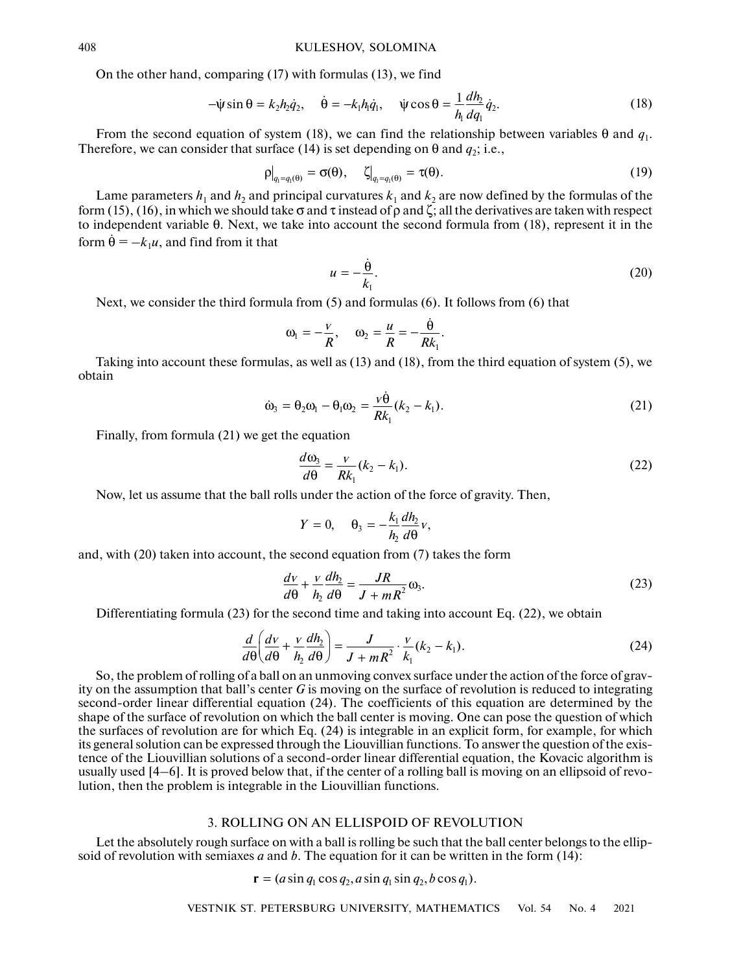On the other hand, comparing (17) with formulas (13), we find 1<br>W<br>.

KULESHOV, SOLOMINA  
comparing (17) with formulas (13), we find  

$$
-\psi \sin \theta = k_2 h_2 \dot{q}_2, \quad \dot{\theta} = -k_1 h_1 \dot{q}_1, \quad \psi \cos \theta = \frac{1}{h_1} \frac{dh_2}{dq_1} \dot{q}_2.
$$
 (18)

From the second equation of system (18), we can find the relationship between variables  $\theta$  and  $q_1$ . Therefore, we can consider that surface (14) is set depending on  $\theta$  and  $q_2$ ; i.e.,

$$
\left. \rho \right|_{q_1 = q_1(\theta)} = \sigma(\theta), \quad \left. \zeta \right|_{q_1 = q_1(\theta)} = \tau(\theta). \tag{19}
$$

Lame parameters  $h_1$  and  $h_2$  and principal curvatures  $k_1$  and  $k_2$  are now defined by the formulas of the form (15), (16), in which we should take  $\sigma$  and  $\tau$  instead of  $\rho$  and  $\zeta$ ; all the derivatives are taken with respect to independent variable θ. Next, we take into account the second formula from (18), represent it in the form  $\dot{\theta} = -k_1 u$ , and find from it that ır<br>(<br>e<br>θrvatur<br>nstea<br>ccour

$$
u = -\frac{\dot{\theta}}{k_1}.
$$
\n
$$
a \text{ from (5) and formulas (6). It follows from (6) that}
$$
\n
$$
\omega_1 = -\frac{v}{R}, \quad \omega_2 = \frac{u}{R} = -\frac{\dot{\theta}}{R}.
$$
\n(20)

Next, we consider the third formula from (5) and formulas (6). It follows from (6) that

$$
\omega_1 = -\frac{v}{R}
$$
,  $\omega_2 = \frac{u}{R} = -\frac{\dot{\theta}}{Rk_1}$ .

Taking into account these formulas, as well as (13) and (18), from the third equation of system (5), we obtain  $\omega_1 = -\frac{v}{R}$ ,  $\omega_2 = \frac{u}{R} = -\frac{v}{R}$ <br>
and  $\omega_3$  and  $\omega_4 = \theta_2 \omega_1 - \theta_1 \omega_2 = \frac{v \dot{\theta}}{R}$  ( $k_2$  –

$$
\dot{\omega}_3 = \theta_2 \omega_1 - \theta_1 \omega_2 = \frac{v \theta}{R k_1} (k_2 - k_1). \tag{21}
$$

Finally, from formula (21) we get the equation

$$
\frac{d\omega_3}{d\theta} = \frac{v}{Rk_1}(k_2 - k_1). \tag{22}
$$

Now, let us assume that the ball rolls under the action of the force of gravity. Then,

$$
Y=0, \quad \theta_3=-\frac{k_1}{h_2}\frac{dh_2}{d\theta}v,
$$

and, with (20) taken into account, the second equation from (7) takes the form

$$
\frac{dv}{d\theta} + \frac{v}{h_2}\frac{dh_2}{d\theta} = \frac{JR}{J + mR^2}\omega_3.
$$
 (23)

Differentiating formula (23) for the second time and taking into account Eq. (22), we obtain

$$
\frac{d}{d\theta}\left(\frac{dv}{d\theta} + \frac{v}{h_2}\frac{dh_2}{d\theta}\right) = \frac{J}{J + mR^2} \cdot \frac{v}{k_1}(k_2 - k_1).
$$
\n(24)

So, the problem of rolling of a ball on an unmoving convex surface under the action of the force of gravity on the assumption that ball's center *G* is moving on the surface of revolution is reduced to integrating second-order linear differential equation (24). The coefficients of this equation are determined by the shape of the surface of revolution on which the ball center is moving. One can pose the question of which the surfaces of revolution are for which Eq. (24) is integrable in an explicit form, for example, for which its general solution can be expressed through the Liouvillian functions. To answer the question of the existence of the Liouvillian solutions of a second-order linear differential equation, the Kovacic algorithm is usually used [4–6]. It is proved below that, if the center of a rolling ball is moving on an ellipsoid of revolution, then the problem is integrable in the Liouvillian functions.

#### 3. ROLLING ON AN ELLISPOID OF REVOLUTION

Let the absolutely rough surface on with a ball is rolling be such that the ball center belongs to the ellipsoid of revolution with semiaxes *a* and *b*. The equation for it can be written in the form (14):

 $\mathbf{r} = (a \sin q_1 \cos q_2, a \sin q_1 \sin q_2, b \cos q_1).$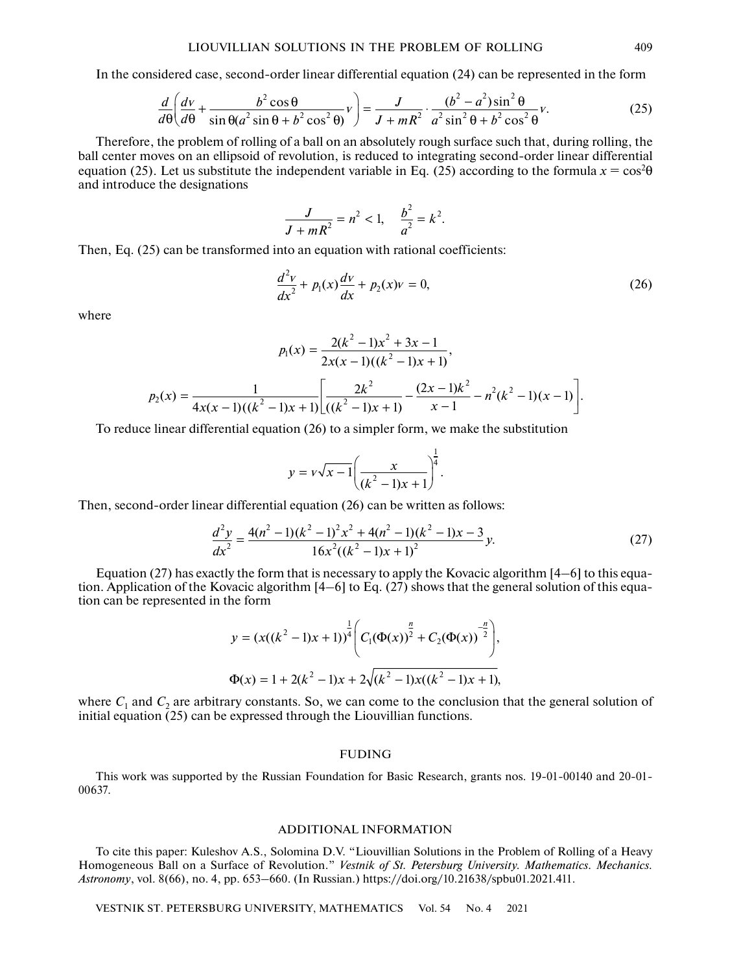In the considered case, second-order linear differential equation (24) can be represented in the form

$$
\frac{d}{d\theta}\left(\frac{dv}{d\theta} + \frac{b^2\cos\theta}{\sin\theta(a^2\sin\theta + b^2\cos^2\theta)}v\right) = \frac{J}{J + mR^2} \cdot \frac{(b^2 - a^2)\sin^2\theta}{a^2\sin^2\theta + b^2\cos^2\theta}v.
$$
\n(25)

Therefore, the problem of rolling of a ball on an absolutely rough surface such that, during rolling, the ball center moves on an ellipsoid of revolution, is reduced to integrating second-order linear differential equation (25). Let us substitute the independent variable in Eq. (25) according to the formula  $x = cos^2\theta$ and introduce the designations

$$
\frac{J}{J+mR^2} = n^2 < 1, \quad \frac{b^2}{a^2} = k^2.
$$

Then, Eq. (25) can be transformed into an equation with rational coefficients:

$$
\frac{d^2v}{dx^2} + p_1(x)\frac{dv}{dx} + p_2(x)v = 0,
$$
\n(26)

where

$$
p_1(x) = \frac{2(k^2 - 1)x^2 + 3x - 1}{2x(x - 1)((k^2 - 1)x + 1)},
$$
  

$$
p_2(x) = \frac{1}{4x(x - 1)((k^2 - 1)x + 1)} \left[ \frac{2k^2}{((k^2 - 1)x + 1)} - \frac{(2x - 1)k^2}{x - 1} - n^2(k^2 - 1)(x - 1) \right].
$$

To reduce linear differential equation (26) to a simpler form, we make the substitution

$$
y = v\sqrt{x-1}\left(\frac{x}{(k^2-1)x+1}\right)^{\frac{1}{4}}.
$$

Then, second-order linear differential equation (26) can be written as follows:

$$
\frac{d^2y}{dx^2} = \frac{4(n^2 - 1)(k^2 - 1)^2x^2 + 4(n^2 - 1)(k^2 - 1)x - 3}{16x^2((k^2 - 1)x + 1)^2}y.
$$
\n(27)

Equation (27) has exactly the form that is necessary to apply the Kovacic algorithm [4–6] to this equation. Application of the Kovacic algorithm [4–6] to Eq. (27) shows that the general solution of this equation can be represented in the form

$$
y = (x((k2 - 1)x + 1))\frac{1}{4} \bigg( C1(\Phi(x))\frac{n}{2} + C2(\Phi(x))\frac{n}{2} \bigg),
$$
  

$$
\Phi(x) = 1 + 2(k2 - 1)x + 2\sqrt{(k2 - 1)x((k2 - 1)x + 1)},
$$

where  $C_1$  and  $C_2$  are arbitrary constants. So, we can come to the conclusion that the general solution of initial equation  $(25)$  can be expressed through the Liouvillian functions.

#### FUDING

This work was supported by the Russian Foundation for Basic Research, grants nos. 19-01-00140 and 20-01- 00637.

## ADDITIONAL INFORMATION

To cite this paper: Kuleshov A.S., Solomina D.V. "Liouvillian Solutions in the Problem of Rolling of a Heavy Homogeneous Ball on a Surface of Revolution." *Vestnik of St. Petersburg University. Mathematics. Mechanics. Astronomy*, vol. 8(66), no. 4, рр. 653–660. (In Russian.) https://doi.org/10.21638/spbu01.2021.411.

VESTNIK ST. PETERSBURG UNIVERSITY, MATHEMATICS Vol. 54 No. 4 2021